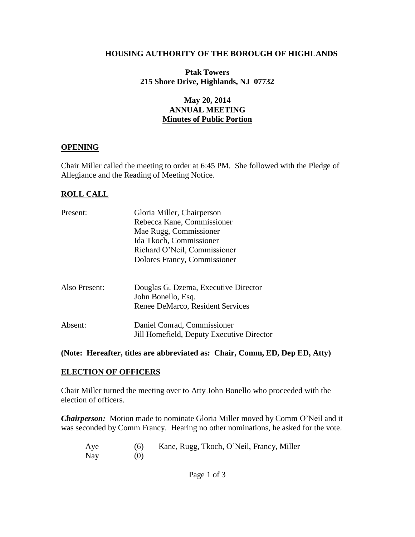#### **HOUSING AUTHORITY OF THE BOROUGH OF HIGHLANDS**

## **Ptak Towers 215 Shore Drive, Highlands, NJ 07732**

# **May 20, 2014 ANNUAL MEETING Minutes of Public Portion**

## **OPENING**

Chair Miller called the meeting to order at 6:45 PM. She followed with the Pledge of Allegiance and the Reading of Meeting Notice.

## **ROLL CALL**

| Present:      | Gloria Miller, Chairperson                |  |  |  |
|---------------|-------------------------------------------|--|--|--|
|               | Rebecca Kane, Commissioner                |  |  |  |
|               | Mae Rugg, Commissioner                    |  |  |  |
|               | Ida Tkoch, Commissioner                   |  |  |  |
|               | Richard O'Neil, Commissioner              |  |  |  |
|               | Dolores Francy, Commissioner              |  |  |  |
|               |                                           |  |  |  |
| Also Present: | Douglas G. Dzema, Executive Director      |  |  |  |
|               | John Bonello, Esq.                        |  |  |  |
|               | Renee DeMarco, Resident Services          |  |  |  |
| Absent:       | Daniel Conrad, Commissioner               |  |  |  |
|               | Jill Homefield, Deputy Executive Director |  |  |  |

#### **(Note: Hereafter, titles are abbreviated as: Chair, Comm, ED, Dep ED, Atty)**

## **ELECTION OF OFFICERS**

Chair Miller turned the meeting over to Atty John Bonello who proceeded with the election of officers.

*Chairperson:* Motion made to nominate Gloria Miller moved by Comm O'Neil and it was seconded by Comm Francy. Hearing no other nominations, he asked for the vote.

| Aye | (6) | Kane, Rugg, Tkoch, O'Neil, Francy, Miller |
|-----|-----|-------------------------------------------|
| Nay | (0) |                                           |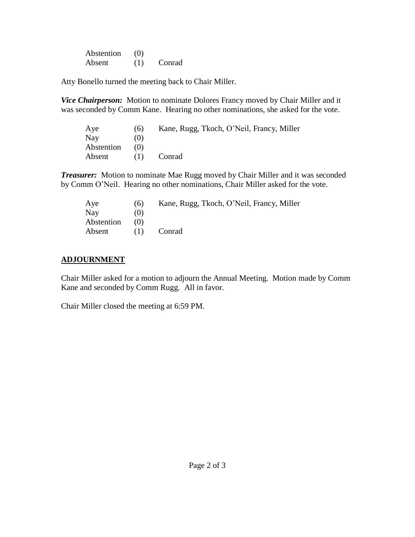| Abstention | (0) |        |
|------------|-----|--------|
| Absent     | (1) | Conrad |

Atty Bonello turned the meeting back to Chair Miller.

*Vice Chairperson:* Motion to nominate Dolores Francy moved by Chair Miller and it was seconded by Comm Kane. Hearing no other nominations, she asked for the vote.

| Aye        | (6)               | Kane, Rugg, Tkoch, O'Neil, Francy, Miller |
|------------|-------------------|-------------------------------------------|
| Nay        | $\left( 0\right)$ |                                           |
| Abstention | (1)               |                                           |
| Absent     | (1)               | Conrad                                    |

**Treasurer:** Motion to nominate Mae Rugg moved by Chair Miller and it was seconded by Comm O'Neil. Hearing no other nominations, Chair Miller asked for the vote.

| Aye        | (6) | Kane, Rugg, Tkoch, O'Neil, Francy, Miller |
|------------|-----|-------------------------------------------|
| Nay        | (0) |                                           |
| Abstention | (0) |                                           |
| Absent     | (1) | Conrad                                    |

# **ADJOURNMENT**

Chair Miller asked for a motion to adjourn the Annual Meeting. Motion made by Comm Kane and seconded by Comm Rugg. All in favor.

Chair Miller closed the meeting at 6:59 PM.